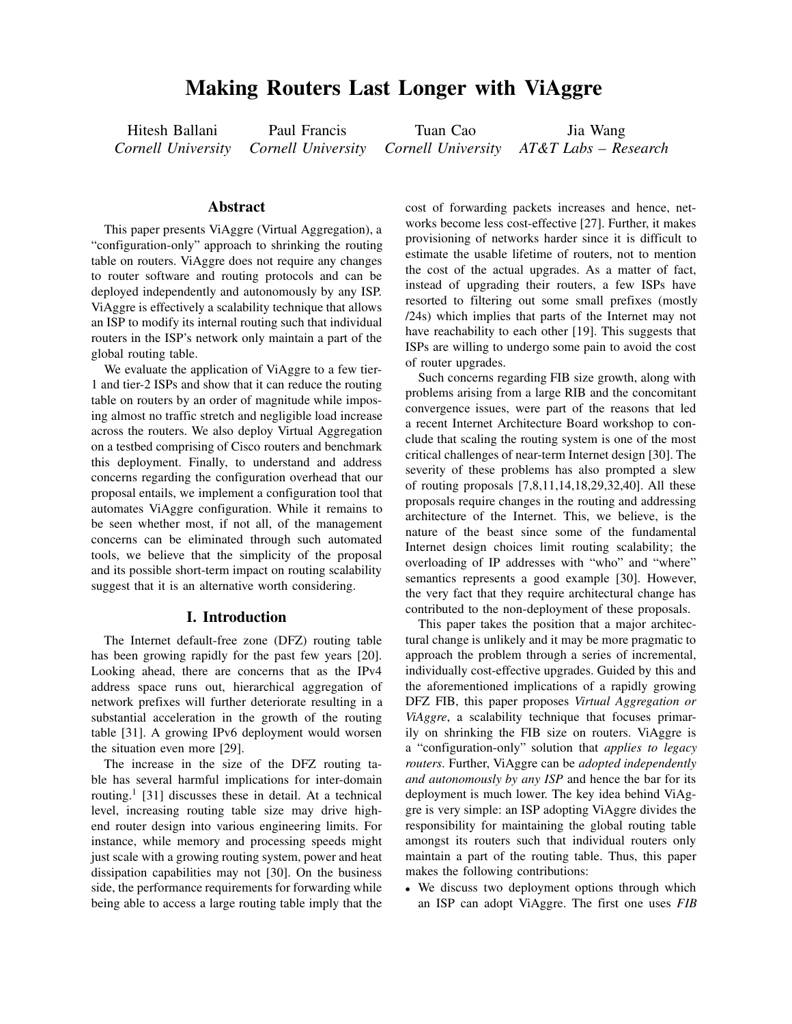# **Making Routers Last Longer with ViAggre**

Hitesh Ballani *Cornell University* Paul Francis *Cornell University*

Tuan Cao *Cornell University*

Jia Wang *AT&T Labs – Research*

### **Abstract**

This paper presents ViAggre (Virtual Aggregation), a "configuration-only" approach to shrinking the routing table on routers. ViAggre does not require any changes to router software and routing protocols and can be deployed independently and autonomously by any ISP. ViAggre is effectively a scalability technique that allows an ISP to modify its internal routing such that individual routers in the ISP's network only maintain a part of the global routing table.

We evaluate the application of ViAggre to a few tier-1 and tier-2 ISPs and show that it can reduce the routing table on routers by an order of magnitude while imposing almost no traffic stretch and negligible load increase across the routers. We also deploy Virtual Aggregation on a testbed comprising of Cisco routers and benchmark this deployment. Finally, to understand and address concerns regarding the configuration overhead that our proposal entails, we implement a configuration tool that automates ViAggre configuration. While it remains to be seen whether most, if not all, of the management concerns can be eliminated through such automated tools, we believe that the simplicity of the proposal and its possible short-term impact on routing scalability suggest that it is an alternative worth considering.

### **I. Introduction**

The Internet default-free zone (DFZ) routing table has been growing rapidly for the past few years [20]. Looking ahead, there are concerns that as the IPv4 address space runs out, hierarchical aggregation of network prefixes will further deteriorate resulting in a substantial acceleration in the growth of the routing table [31]. A growing IPv6 deployment would worsen the situation even more [29].

The increase in the size of the DFZ routing table has several harmful implications for inter-domain routing.<sup>1</sup> [31] discusses these in detail. At a technical level, increasing routing table size may drive highend router design into various engineering limits. For instance, while memory and processing speeds might just scale with a growing routing system, power and heat dissipation capabilities may not [30]. On the business side, the performance requirements for forwarding while being able to access a large routing table imply that the cost of forwarding packets increases and hence, networks become less cost-effective [27]. Further, it makes provisioning of networks harder since it is difficult to estimate the usable lifetime of routers, not to mention the cost of the actual upgrades. As a matter of fact, instead of upgrading their routers, a few ISPs have resorted to filtering out some small prefixes (mostly /24s) which implies that parts of the Internet may not have reachability to each other [19]. This suggests that ISPs are willing to undergo some pain to avoid the cost of router upgrades.

Such concerns regarding FIB size growth, along with problems arising from a large RIB and the concomitant convergence issues, were part of the reasons that led a recent Internet Architecture Board workshop to conclude that scaling the routing system is one of the most critical challenges of near-term Internet design [30]. The severity of these problems has also prompted a slew of routing proposals [7,8,11,14,18,29,32,40]. All these proposals require changes in the routing and addressing architecture of the Internet. This, we believe, is the nature of the beast since some of the fundamental Internet design choices limit routing scalability; the overloading of IP addresses with "who" and "where" semantics represents a good example [30]. However, the very fact that they require architectural change has contributed to the non-deployment of these proposals.

This paper takes the position that a major architectural change is unlikely and it may be more pragmatic to approach the problem through a series of incremental, individually cost-effective upgrades. Guided by this and the aforementioned implications of a rapidly growing DFZ FIB, this paper proposes *Virtual Aggregation or ViAggre*, a scalability technique that focuses primarily on shrinking the FIB size on routers. ViAggre is a "configuration-only" solution that *applies to legacy routers*. Further, ViAggre can be *adopted independently and autonomously by any ISP* and hence the bar for its deployment is much lower. The key idea behind ViAggre is very simple: an ISP adopting ViAggre divides the responsibility for maintaining the global routing table amongst its routers such that individual routers only maintain a part of the routing table. Thus, this paper makes the following contributions:

• We discuss two deployment options through which an ISP can adopt ViAggre. The first one uses *FIB*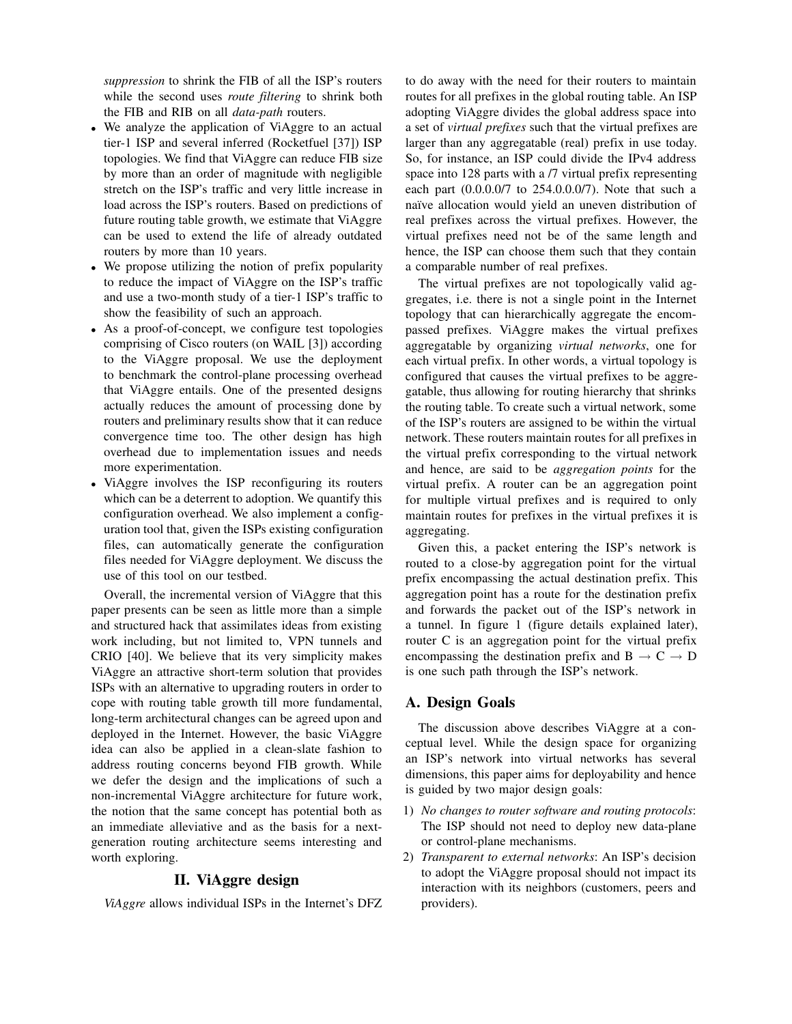*suppression* to shrink the FIB of all the ISP's routers while the second uses *route filtering* to shrink both the FIB and RIB on all *data-path* routers.

- We analyze the application of ViAggre to an actual tier-1 ISP and several inferred (Rocketfuel [37]) ISP topologies. We find that ViAggre can reduce FIB size by more than an order of magnitude with negligible stretch on the ISP's traffic and very little increase in load across the ISP's routers. Based on predictions of future routing table growth, we estimate that ViAggre can be used to extend the life of already outdated routers by more than 10 years.
- We propose utilizing the notion of prefix popularity to reduce the impact of ViAggre on the ISP's traffic and use a two-month study of a tier-1 ISP's traffic to show the feasibility of such an approach.
- As a proof-of-concept, we configure test topologies comprising of Cisco routers (on WAIL [3]) according to the ViAggre proposal. We use the deployment to benchmark the control-plane processing overhead that ViAggre entails. One of the presented designs actually reduces the amount of processing done by routers and preliminary results show that it can reduce convergence time too. The other design has high overhead due to implementation issues and needs more experimentation.
- ViAggre involves the ISP reconfiguring its routers which can be a deterrent to adoption. We quantify this configuration overhead. We also implement a configuration tool that, given the ISPs existing configuration files, can automatically generate the configuration files needed for ViAggre deployment. We discuss the use of this tool on our testbed.

Overall, the incremental version of ViAggre that this paper presents can be seen as little more than a simple and structured hack that assimilates ideas from existing work including, but not limited to, VPN tunnels and CRIO [40]. We believe that its very simplicity makes ViAggre an attractive short-term solution that provides ISPs with an alternative to upgrading routers in order to cope with routing table growth till more fundamental, long-term architectural changes can be agreed upon and deployed in the Internet. However, the basic ViAggre idea can also be applied in a clean-slate fashion to address routing concerns beyond FIB growth. While we defer the design and the implications of such a non-incremental ViAggre architecture for future work, the notion that the same concept has potential both as an immediate alleviative and as the basis for a nextgeneration routing architecture seems interesting and worth exploring.

### **II. ViAggre design**

*ViAggre* allows individual ISPs in the Internet's DFZ

to do away with the need for their routers to maintain routes for all prefixes in the global routing table. An ISP adopting ViAggre divides the global address space into a set of *virtual prefixes* such that the virtual prefixes are larger than any aggregatable (real) prefix in use today. So, for instance, an ISP could divide the IPv4 address space into 128 parts with a /7 virtual prefix representing each part (0.0.0.0/7 to 254.0.0.0/7). Note that such a naïve allocation would yield an uneven distribution of real prefixes across the virtual prefixes. However, the virtual prefixes need not be of the same length and hence, the ISP can choose them such that they contain a comparable number of real prefixes.

The virtual prefixes are not topologically valid aggregates, i.e. there is not a single point in the Internet topology that can hierarchically aggregate the encompassed prefixes. ViAggre makes the virtual prefixes aggregatable by organizing *virtual networks*, one for each virtual prefix. In other words, a virtual topology is configured that causes the virtual prefixes to be aggregatable, thus allowing for routing hierarchy that shrinks the routing table. To create such a virtual network, some of the ISP's routers are assigned to be within the virtual network. These routers maintain routes for all prefixes in the virtual prefix corresponding to the virtual network and hence, are said to be *aggregation points* for the virtual prefix. A router can be an aggregation point for multiple virtual prefixes and is required to only maintain routes for prefixes in the virtual prefixes it is aggregating.

Given this, a packet entering the ISP's network is routed to a close-by aggregation point for the virtual prefix encompassing the actual destination prefix. This aggregation point has a route for the destination prefix and forwards the packet out of the ISP's network in a tunnel. In figure 1 (figure details explained later), router C is an aggregation point for the virtual prefix encompassing the destination prefix and  $B \rightarrow C \rightarrow D$ is one such path through the ISP's network.

### **A. Design Goals**

The discussion above describes ViAggre at a conceptual level. While the design space for organizing an ISP's network into virtual networks has several dimensions, this paper aims for deployability and hence is guided by two major design goals:

- 1) *No changes to router software and routing protocols*: The ISP should not need to deploy new data-plane or control-plane mechanisms.
- 2) *Transparent to external networks*: An ISP's decision to adopt the ViAggre proposal should not impact its interaction with its neighbors (customers, peers and providers).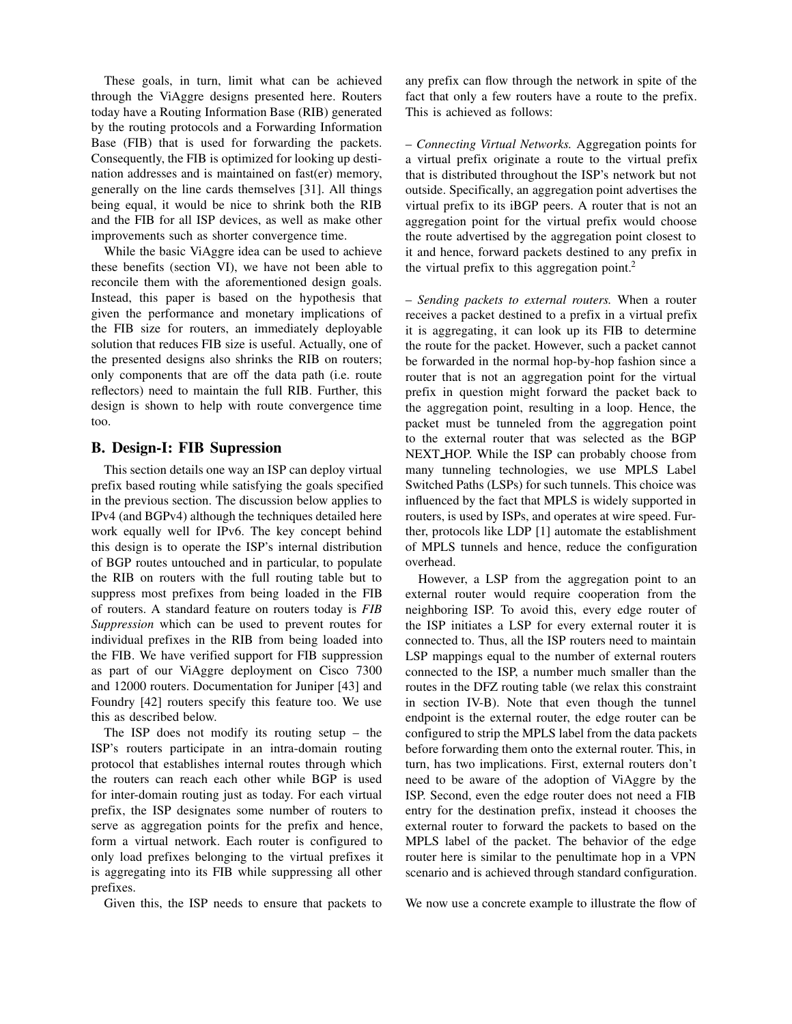These goals, in turn, limit what can be achieved through the ViAggre designs presented here. Routers today have a Routing Information Base (RIB) generated by the routing protocols and a Forwarding Information Base (FIB) that is used for forwarding the packets. Consequently, the FIB is optimized for looking up destination addresses and is maintained on fast(er) memory, generally on the line cards themselves [31]. All things being equal, it would be nice to shrink both the RIB and the FIB for all ISP devices, as well as make other improvements such as shorter convergence time.

While the basic ViAggre idea can be used to achieve these benefits (section VI), we have not been able to reconcile them with the aforementioned design goals. Instead, this paper is based on the hypothesis that given the performance and monetary implications of the FIB size for routers, an immediately deployable solution that reduces FIB size is useful. Actually, one of the presented designs also shrinks the RIB on routers; only components that are off the data path (i.e. route reflectors) need to maintain the full RIB. Further, this design is shown to help with route convergence time too.

# **B. Design-I: FIB Supression**

This section details one way an ISP can deploy virtual prefix based routing while satisfying the goals specified in the previous section. The discussion below applies to IPv4 (and BGPv4) although the techniques detailed here work equally well for IPv6. The key concept behind this design is to operate the ISP's internal distribution of BGP routes untouched and in particular, to populate the RIB on routers with the full routing table but to suppress most prefixes from being loaded in the FIB of routers. A standard feature on routers today is *FIB Suppression* which can be used to prevent routes for individual prefixes in the RIB from being loaded into the FIB. We have verified support for FIB suppression as part of our ViAggre deployment on Cisco 7300 and 12000 routers. Documentation for Juniper [43] and Foundry [42] routers specify this feature too. We use this as described below.

The ISP does not modify its routing setup  $-$  the ISP's routers participate in an intra-domain routing protocol that establishes internal routes through which the routers can reach each other while BGP is used for inter-domain routing just as today. For each virtual prefix, the ISP designates some number of routers to serve as aggregation points for the prefix and hence, form a virtual network. Each router is configured to only load prefixes belonging to the virtual prefixes it is aggregating into its FIB while suppressing all other prefixes.

Given this, the ISP needs to ensure that packets to

any prefix can flow through the network in spite of the fact that only a few routers have a route to the prefix. This is achieved as follows:

– *Connecting Virtual Networks.* Aggregation points for a virtual prefix originate a route to the virtual prefix that is distributed throughout the ISP's network but not outside. Specifically, an aggregation point advertises the virtual prefix to its iBGP peers. A router that is not an aggregation point for the virtual prefix would choose the route advertised by the aggregation point closest to it and hence, forward packets destined to any prefix in the virtual prefix to this aggregation point. $2$ 

– *Sending packets to external routers.* When a router receives a packet destined to a prefix in a virtual prefix it is aggregating, it can look up its FIB to determine the route for the packet. However, such a packet cannot be forwarded in the normal hop-by-hop fashion since a router that is not an aggregation point for the virtual prefix in question might forward the packet back to the aggregation point, resulting in a loop. Hence, the packet must be tunneled from the aggregation point to the external router that was selected as the BGP NEXT HOP. While the ISP can probably choose from many tunneling technologies, we use MPLS Label Switched Paths (LSPs) for such tunnels. This choice was influenced by the fact that MPLS is widely supported in routers, is used by ISPs, and operates at wire speed. Further, protocols like LDP [1] automate the establishment of MPLS tunnels and hence, reduce the configuration overhead.

However, a LSP from the aggregation point to an external router would require cooperation from the neighboring ISP. To avoid this, every edge router of the ISP initiates a LSP for every external router it is connected to. Thus, all the ISP routers need to maintain LSP mappings equal to the number of external routers connected to the ISP, a number much smaller than the routes in the DFZ routing table (we relax this constraint in section IV-B). Note that even though the tunnel endpoint is the external router, the edge router can be configured to strip the MPLS label from the data packets before forwarding them onto the external router. This, in turn, has two implications. First, external routers don't need to be aware of the adoption of ViAggre by the ISP. Second, even the edge router does not need a FIB entry for the destination prefix, instead it chooses the external router to forward the packets to based on the MPLS label of the packet. The behavior of the edge router here is similar to the penultimate hop in a VPN scenario and is achieved through standard configuration.

We now use a concrete example to illustrate the flow of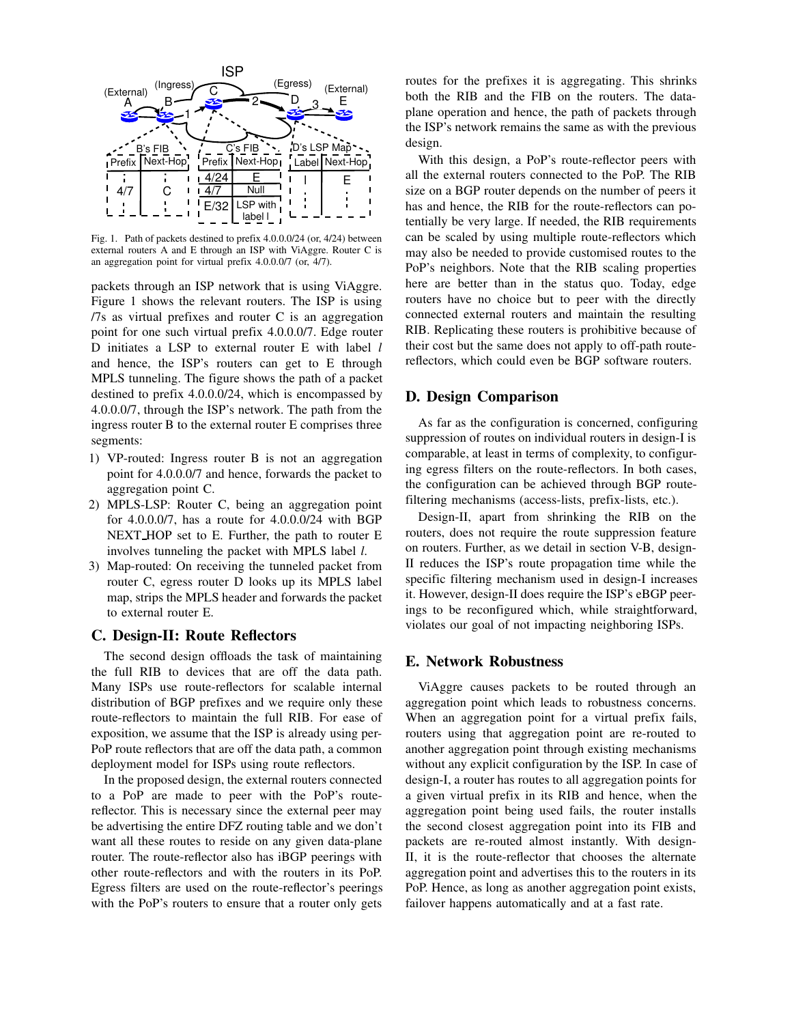

Fig. 1. Path of packets destined to prefix 4.0.0.0/24 (or, 4/24) between external routers A and E through an ISP with ViAggre. Router C is an aggregation point for virtual prefix 4.0.0.0/7 (or, 4/7).

packets through an ISP network that is using ViAggre. Figure 1 shows the relevant routers. The ISP is using /7s as virtual prefixes and router C is an aggregation point for one such virtual prefix 4.0.0.0/7. Edge router D initiates a LSP to external router E with label *l* and hence, the ISP's routers can get to E through MPLS tunneling. The figure shows the path of a packet destined to prefix 4.0.0.0/24, which is encompassed by 4.0.0.0/7, through the ISP's network. The path from the ingress router B to the external router E comprises three segments:

- 1) VP-routed: Ingress router B is not an aggregation point for 4.0.0.0/7 and hence, forwards the packet to aggregation point C.
- 2) MPLS-LSP: Router C, being an aggregation point for 4.0.0.0/7, has a route for 4.0.0.0/24 with BGP NEXT HOP set to E. Further, the path to router E involves tunneling the packet with MPLS label *l*.
- 3) Map-routed: On receiving the tunneled packet from router C, egress router D looks up its MPLS label map, strips the MPLS header and forwards the packet to external router E.

### **C. Design-II: Route Reflectors**

The second design offloads the task of maintaining the full RIB to devices that are off the data path. Many ISPs use route-reflectors for scalable internal distribution of BGP prefixes and we require only these route-reflectors to maintain the full RIB. For ease of exposition, we assume that the ISP is already using per-PoP route reflectors that are off the data path, a common deployment model for ISPs using route reflectors.

In the proposed design, the external routers connected to a PoP are made to peer with the PoP's routereflector. This is necessary since the external peer may be advertising the entire DFZ routing table and we don't want all these routes to reside on any given data-plane router. The route-reflector also has iBGP peerings with other route-reflectors and with the routers in its PoP. Egress filters are used on the route-reflector's peerings with the PoP's routers to ensure that a router only gets

routes for the prefixes it is aggregating. This shrinks both the RIB and the FIB on the routers. The dataplane operation and hence, the path of packets through the ISP's network remains the same as with the previous design.

With this design, a PoP's route-reflector peers with all the external routers connected to the PoP. The RIB size on a BGP router depends on the number of peers it has and hence, the RIB for the route-reflectors can potentially be very large. If needed, the RIB requirements can be scaled by using multiple route-reflectors which may also be needed to provide customised routes to the PoP's neighbors. Note that the RIB scaling properties here are better than in the status quo. Today, edge routers have no choice but to peer with the directly connected external routers and maintain the resulting RIB. Replicating these routers is prohibitive because of their cost but the same does not apply to off-path routereflectors, which could even be BGP software routers.

### **D. Design Comparison**

As far as the configuration is concerned, configuring suppression of routes on individual routers in design-I is comparable, at least in terms of complexity, to configuring egress filters on the route-reflectors. In both cases, the configuration can be achieved through BGP routefiltering mechanisms (access-lists, prefix-lists, etc.).

Design-II, apart from shrinking the RIB on the routers, does not require the route suppression feature on routers. Further, as we detail in section V-B, design-II reduces the ISP's route propagation time while the specific filtering mechanism used in design-I increases it. However, design-II does require the ISP's eBGP peerings to be reconfigured which, while straightforward, violates our goal of not impacting neighboring ISPs.

### **E. Network Robustness**

ViAggre causes packets to be routed through an aggregation point which leads to robustness concerns. When an aggregation point for a virtual prefix fails, routers using that aggregation point are re-routed to another aggregation point through existing mechanisms without any explicit configuration by the ISP. In case of design-I, a router has routes to all aggregation points for a given virtual prefix in its RIB and hence, when the aggregation point being used fails, the router installs the second closest aggregation point into its FIB and packets are re-routed almost instantly. With design-II, it is the route-reflector that chooses the alternate aggregation point and advertises this to the routers in its PoP. Hence, as long as another aggregation point exists, failover happens automatically and at a fast rate.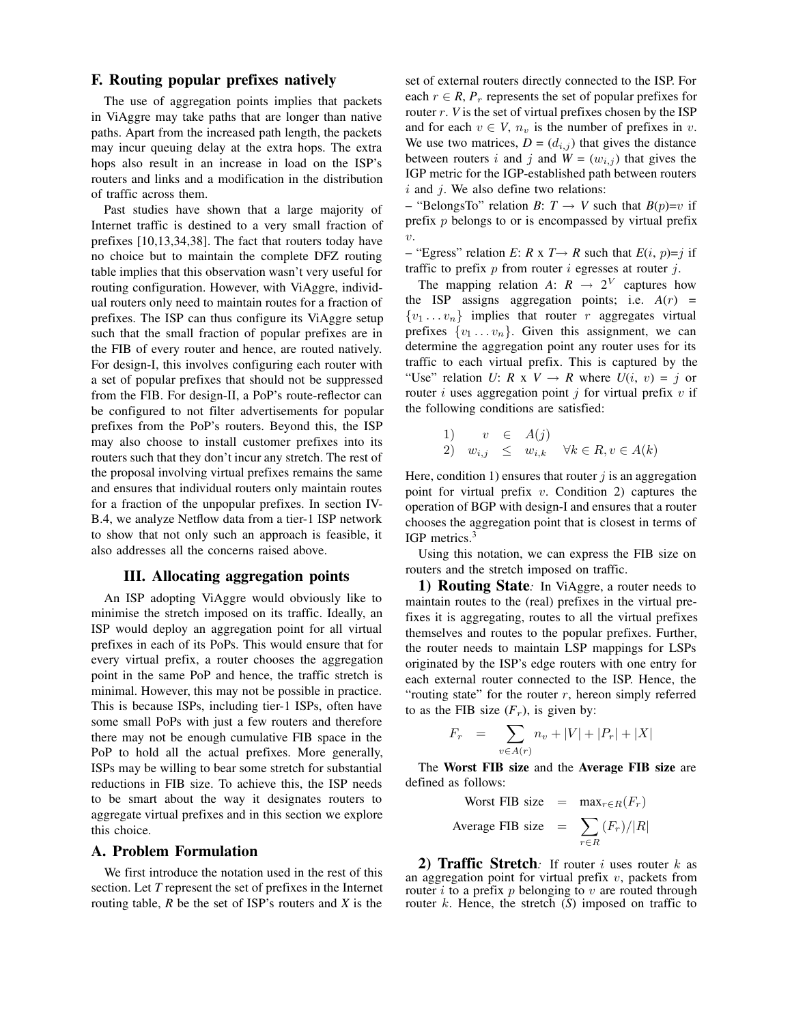### **F. Routing popular prefixes natively**

The use of aggregation points implies that packets in ViAggre may take paths that are longer than native paths. Apart from the increased path length, the packets may incur queuing delay at the extra hops. The extra hops also result in an increase in load on the ISP's routers and links and a modification in the distribution of traffic across them.

Past studies have shown that a large majority of Internet traffic is destined to a very small fraction of prefixes [10,13,34,38]. The fact that routers today have no choice but to maintain the complete DFZ routing table implies that this observation wasn't very useful for routing configuration. However, with ViAggre, individual routers only need to maintain routes for a fraction of prefixes. The ISP can thus configure its ViAggre setup such that the small fraction of popular prefixes are in the FIB of every router and hence, are routed natively. For design-I, this involves configuring each router with a set of popular prefixes that should not be suppressed from the FIB. For design-II, a PoP's route-reflector can be configured to not filter advertisements for popular prefixes from the PoP's routers. Beyond this, the ISP may also choose to install customer prefixes into its routers such that they don't incur any stretch. The rest of the proposal involving virtual prefixes remains the same and ensures that individual routers only maintain routes for a fraction of the unpopular prefixes. In section IV-B.4, we analyze Netflow data from a tier-1 ISP network to show that not only such an approach is feasible, it also addresses all the concerns raised above.

### **III. Allocating aggregation points**

An ISP adopting ViAggre would obviously like to minimise the stretch imposed on its traffic. Ideally, an ISP would deploy an aggregation point for all virtual prefixes in each of its PoPs. This would ensure that for every virtual prefix, a router chooses the aggregation point in the same PoP and hence, the traffic stretch is minimal. However, this may not be possible in practice. This is because ISPs, including tier-1 ISPs, often have some small PoPs with just a few routers and therefore there may not be enough cumulative FIB space in the PoP to hold all the actual prefixes. More generally, ISPs may be willing to bear some stretch for substantial reductions in FIB size. To achieve this, the ISP needs to be smart about the way it designates routers to aggregate virtual prefixes and in this section we explore this choice.

### **A. Problem Formulation**

We first introduce the notation used in the rest of this section. Let *T* represent the set of prefixes in the Internet routing table, *R* be the set of ISP's routers and *X* is the

set of external routers directly connected to the ISP. For each  $r \in R$ ,  $P_r$  represents the set of popular prefixes for router r. *V* is the set of virtual prefixes chosen by the ISP and for each  $v \in V$ ,  $n_v$  is the number of prefixes in v. We use two matrices,  $D = (d_{i,j})$  that gives the distance between routers i and j and  $W = (w_{i,j})$  that gives the IGP metric for the IGP-established path between routers  $i$  and  $j$ . We also define two relations:

 $-$  "BelongsTo" relation *B*:  $T \rightarrow V$  such that  $B(p)=v$  if prefix p belongs to or is encompassed by virtual prefix  $\upsilon$ .

– "Egress" relation *E*: *R* x *T* $\rightarrow$  *R* such that *E*(*i*, *p*)=*j* if traffic to prefix  $p$  from router  $i$  egresses at router  $j$ .

The mapping relation *A*:  $R \rightarrow 2^V$  captures how the ISP assigns aggregation points; i.e.  $A(r)$  =  $\{v_1 \dots v_n\}$  implies that router r aggregates virtual prefixes  $\{v_1 \dots v_n\}$ . Given this assignment, we can determine the aggregation point any router uses for its traffic to each virtual prefix. This is captured by the "Use" relation *U*: *R* x *V*  $\rightarrow$  *R* where *U*(*i*, *v*) = *j* or router i uses aggregation point j for virtual prefix  $v$  if the following conditions are satisfied:

1) 
$$
v \in A(j)
$$
  
2) 
$$
w_{i,j} \leq w_{i,k} \quad \forall k \in R, v \in A(k)
$$

Here, condition 1) ensures that router  $j$  is an aggregation point for virtual prefix  $v$ . Condition 2) captures the operation of BGP with design-I and ensures that a router chooses the aggregation point that is closest in terms of IGP metrics.<sup>3</sup>

Using this notation, we can express the FIB size on routers and the stretch imposed on traffic.

**1) Routing State***:* In ViAggre, a router needs to maintain routes to the (real) prefixes in the virtual prefixes it is aggregating, routes to all the virtual prefixes themselves and routes to the popular prefixes. Further, the router needs to maintain LSP mappings for LSPs originated by the ISP's edge routers with one entry for each external router connected to the ISP. Hence, the "routing state" for the router  $r$ , hereon simply referred to as the FIB size  $(F_r)$ , is given by:

$$
F_r = \sum_{v \in A(r)} n_v + |V| + |P_r| + |X|
$$

The **Worst FIB size** and the **Average FIB size** are defined as follows:

Worst FIB size =

\n
$$
\max_{r \in R}(F_r)
$$
\nAverage FIB size =

\n
$$
\sum_{r \in R} \frac{F_r}{|R|}
$$

**2) Traffic Stretch***:* If router i uses router k as an aggregation point for virtual prefix  $v$ , packets from router i to a prefix p belonging to v are routed through router k. Hence, the stretch (*S*) imposed on traffic to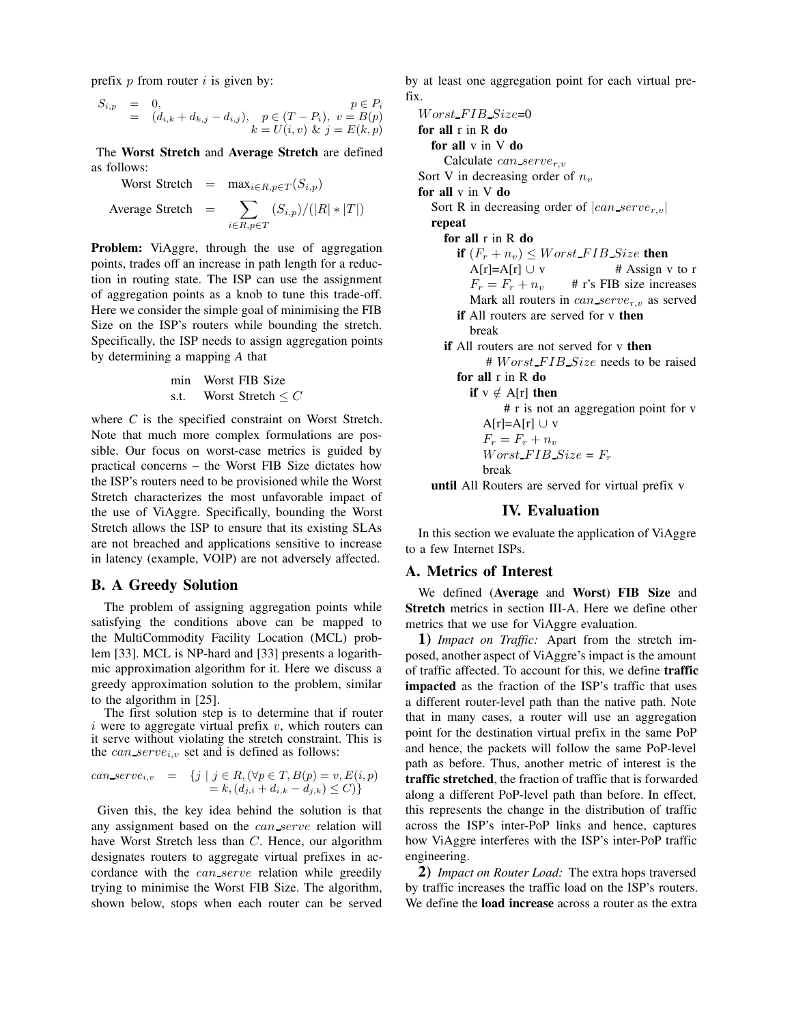prefix  $p$  from router  $i$  is given by:

$$
S_{i,p} = 0, = (d_{i,k} + d_{k,j} - d_{i,j}), p \in (T - P_i), v = B(p) k = U(i, v) \& j = E(k, p)
$$

The **Worst Stretch** and **Average Stretch** are defined as follows:

Worst Street

\n
$$
= \max_{i \in R, p \in T} (S_{i,p})
$$
\nAverage Street

\n
$$
= \sum_{i \in R, p \in T} (S_{i,p}) / (|R| * |T|)
$$

**Problem:** ViAggre, through the use of aggregation points, trades off an increase in path length for a reduction in routing state. The ISP can use the assignment of aggregation points as a knob to tune this trade-off. Here we consider the simple goal of minimising the FIB Size on the ISP's routers while bounding the stretch. Specifically, the ISP needs to assign aggregation points by determining a mapping *A* that

$$
\begin{array}{ll}\n\text{min} & \text{Worst FIR Size} \\
\text{s.t.} & \text{Worst Street} \leq C\n\end{array}
$$

where *C* is the specified constraint on Worst Stretch. Note that much more complex formulations are possible. Our focus on worst-case metrics is guided by practical concerns – the Worst FIB Size dictates how the ISP's routers need to be provisioned while the Worst Stretch characterizes the most unfavorable impact of the use of ViAggre. Specifically, bounding the Worst Stretch allows the ISP to ensure that its existing SLAs are not breached and applications sensitive to increase in latency (example, VOIP) are not adversely affected.

### **B. A Greedy Solution**

The problem of assigning aggregation points while satisfying the conditions above can be mapped to the MultiCommodity Facility Location (MCL) problem [33]. MCL is NP-hard and [33] presents a logarithmic approximation algorithm for it. Here we discuss a greedy approximation solution to the problem, similar to the algorithm in [25].

The first solution step is to determine that if router i were to aggregate virtual prefix  $v$ , which routers can it serve without violating the stretch constraint. This is the  $can\_serve_{i,v}$  set and is defined as follows:

can\_serve<sub>i,v</sub> = 
$$
\{j \mid j \in R, (\forall p \in T, B(p) = v, E(i, p) = k, (d_{j,i} + d_{i,k} - d_{j,k}) \le C)\}
$$

Given this, the key idea behind the solution is that any assignment based on the *can\_serve* relation will have Worst Stretch less than C. Hence, our algorithm designates routers to aggregate virtual prefixes in accordance with the *can\_serve* relation while greedily trying to minimise the Worst FIB Size. The algorithm, shown below, stops when each router can be served by at least one aggregation point for each virtual prefix.

Worst FIB Size=0 **for all** r in R **do for all** v in V **do** Calculate  $can\_serve_{r,v}$ Sort V in decreasing order of  $n_v$ **for all** v in V **do** Sort R in decreasing order of  $|can\_serve_{r,v}|$ **repeat for all** r in R **do if**  $(F_r + n_v) \leq Work\_FIB\_Size$  **then**  $A[r]=A[r] \cup v$  # Assign v to r  $F_r = F_r + n_v$  # r's FIB size increases Mark all routers in  $can\_serve_{r,v}$  as served **if** All routers are served for v **then** break **if** All routers are not served for v **then** # Worst\_FIB\_Size needs to be raised **for all** r in R **do if**  $v \notin A[r]$  **then** # r is not an aggregation point for v  $A[r]=A[r] \cup v$  $F_r = F_r + n_v$ Worst  $FIB$  Size =  $F_r$ break

**until** All Routers are served for virtual prefix v

### **IV. Evaluation**

In this section we evaluate the application of ViAggre to a few Internet ISPs.

#### **A. Metrics of Interest**

We defined (**Average** and **Worst**) **FIB Size** and **Stretch** metrics in section III-A. Here we define other metrics that we use for ViAggre evaluation.

**1)** *Impact on Traffic:* Apart from the stretch imposed, another aspect of ViAggre's impact is the amount of traffic affected. To account for this, we define **traffic impacted** as the fraction of the ISP's traffic that uses a different router-level path than the native path. Note that in many cases, a router will use an aggregation point for the destination virtual prefix in the same PoP and hence, the packets will follow the same PoP-level path as before. Thus, another metric of interest is the **traffic stretched**, the fraction of traffic that is forwarded along a different PoP-level path than before. In effect, this represents the change in the distribution of traffic across the ISP's inter-PoP links and hence, captures how ViAggre interferes with the ISP's inter-PoP traffic engineering.

**2)** *Impact on Router Load:* The extra hops traversed by traffic increases the traffic load on the ISP's routers. We define the **load increase** across a router as the extra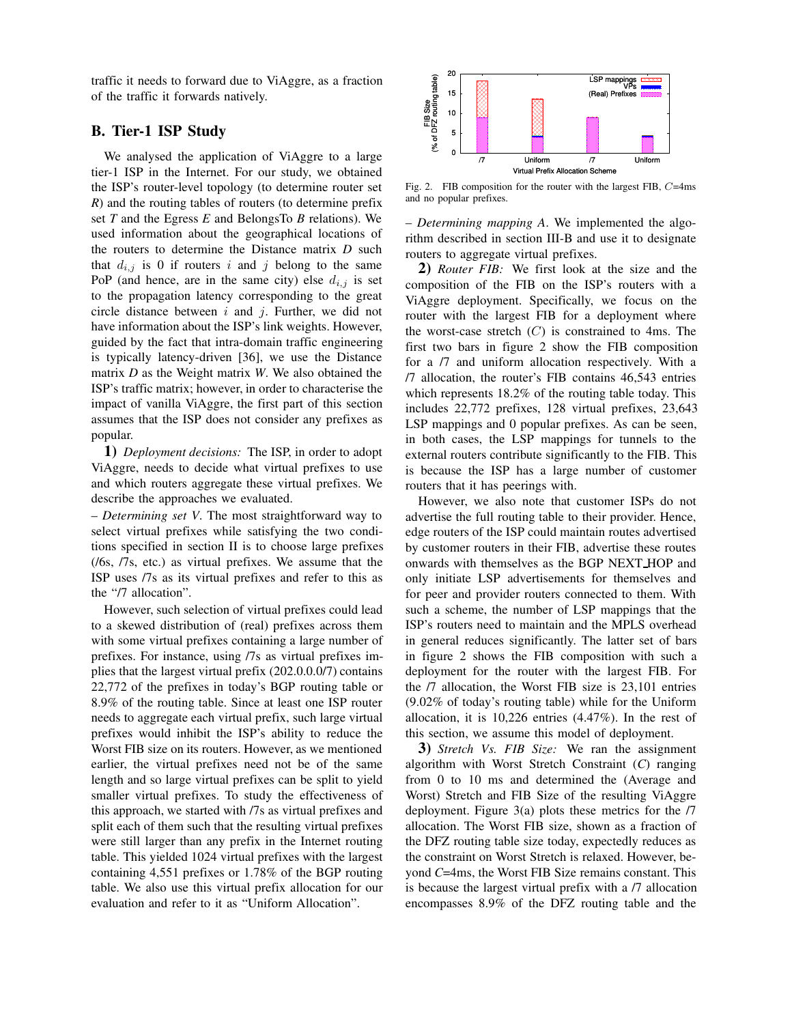traffic it needs to forward due to ViAggre, as a fraction of the traffic it forwards natively.

# **B. Tier-1 ISP Study**

We analysed the application of ViAggre to a large tier-1 ISP in the Internet. For our study, we obtained the ISP's router-level topology (to determine router set *R*) and the routing tables of routers (to determine prefix set *T* and the Egress *E* and BelongsTo *B* relations). We used information about the geographical locations of the routers to determine the Distance matrix *D* such that  $d_{i,j}$  is 0 if routers i and j belong to the same PoP (and hence, are in the same city) else  $d_{i,j}$  is set to the propagation latency corresponding to the great circle distance between  $i$  and  $j$ . Further, we did not have information about the ISP's link weights. However, guided by the fact that intra-domain traffic engineering is typically latency-driven [36], we use the Distance matrix *D* as the Weight matrix *W*. We also obtained the ISP's traffic matrix; however, in order to characterise the impact of vanilla ViAggre, the first part of this section assumes that the ISP does not consider any prefixes as popular.

**1)** *Deployment decisions:* The ISP, in order to adopt ViAggre, needs to decide what virtual prefixes to use and which routers aggregate these virtual prefixes. We describe the approaches we evaluated.

– *Determining set V*. The most straightforward way to select virtual prefixes while satisfying the two conditions specified in section II is to choose large prefixes (/6s, /7s, etc.) as virtual prefixes. We assume that the ISP uses /7s as its virtual prefixes and refer to this as the "/7 allocation".

However, such selection of virtual prefixes could lead to a skewed distribution of (real) prefixes across them with some virtual prefixes containing a large number of prefixes. For instance, using /7s as virtual prefixes implies that the largest virtual prefix (202.0.0.0/7) contains 22,772 of the prefixes in today's BGP routing table or 8.9% of the routing table. Since at least one ISP router needs to aggregate each virtual prefix, such large virtual prefixes would inhibit the ISP's ability to reduce the Worst FIB size on its routers. However, as we mentioned earlier, the virtual prefixes need not be of the same length and so large virtual prefixes can be split to yield smaller virtual prefixes. To study the effectiveness of this approach, we started with /7s as virtual prefixes and split each of them such that the resulting virtual prefixes were still larger than any prefix in the Internet routing table. This yielded 1024 virtual prefixes with the largest containing 4,551 prefixes or 1.78% of the BGP routing table. We also use this virtual prefix allocation for our evaluation and refer to it as "Uniform Allocation".



Fig. 2. FIB composition for the router with the largest FIB, C=4ms and no popular prefixes.

– *Determining mapping A*. We implemented the algorithm described in section III-B and use it to designate routers to aggregate virtual prefixes.

**2)** *Router FIB:* We first look at the size and the composition of the FIB on the ISP's routers with a ViAggre deployment. Specifically, we focus on the router with the largest FIB for a deployment where the worst-case stretch  $(C)$  is constrained to 4ms. The first two bars in figure 2 show the FIB composition for a /7 and uniform allocation respectively. With a /7 allocation, the router's FIB contains 46,543 entries which represents 18.2% of the routing table today. This includes 22,772 prefixes, 128 virtual prefixes, 23,643 LSP mappings and 0 popular prefixes. As can be seen, in both cases, the LSP mappings for tunnels to the external routers contribute significantly to the FIB. This is because the ISP has a large number of customer routers that it has peerings with.

However, we also note that customer ISPs do not advertise the full routing table to their provider. Hence, edge routers of the ISP could maintain routes advertised by customer routers in their FIB, advertise these routes onwards with themselves as the BGP NEXT HOP and only initiate LSP advertisements for themselves and for peer and provider routers connected to them. With such a scheme, the number of LSP mappings that the ISP's routers need to maintain and the MPLS overhead in general reduces significantly. The latter set of bars in figure 2 shows the FIB composition with such a deployment for the router with the largest FIB. For the /7 allocation, the Worst FIB size is 23,101 entries (9.02% of today's routing table) while for the Uniform allocation, it is 10,226 entries (4.47%). In the rest of this section, we assume this model of deployment.

**3)** *Stretch Vs. FIB Size:* We ran the assignment algorithm with Worst Stretch Constraint (*C*) ranging from 0 to 10 ms and determined the (Average and Worst) Stretch and FIB Size of the resulting ViAggre deployment. Figure 3(a) plots these metrics for the /7 allocation. The Worst FIB size, shown as a fraction of the DFZ routing table size today, expectedly reduces as the constraint on Worst Stretch is relaxed. However, beyond *C*=4ms, the Worst FIB Size remains constant. This is because the largest virtual prefix with a /7 allocation encompasses 8.9% of the DFZ routing table and the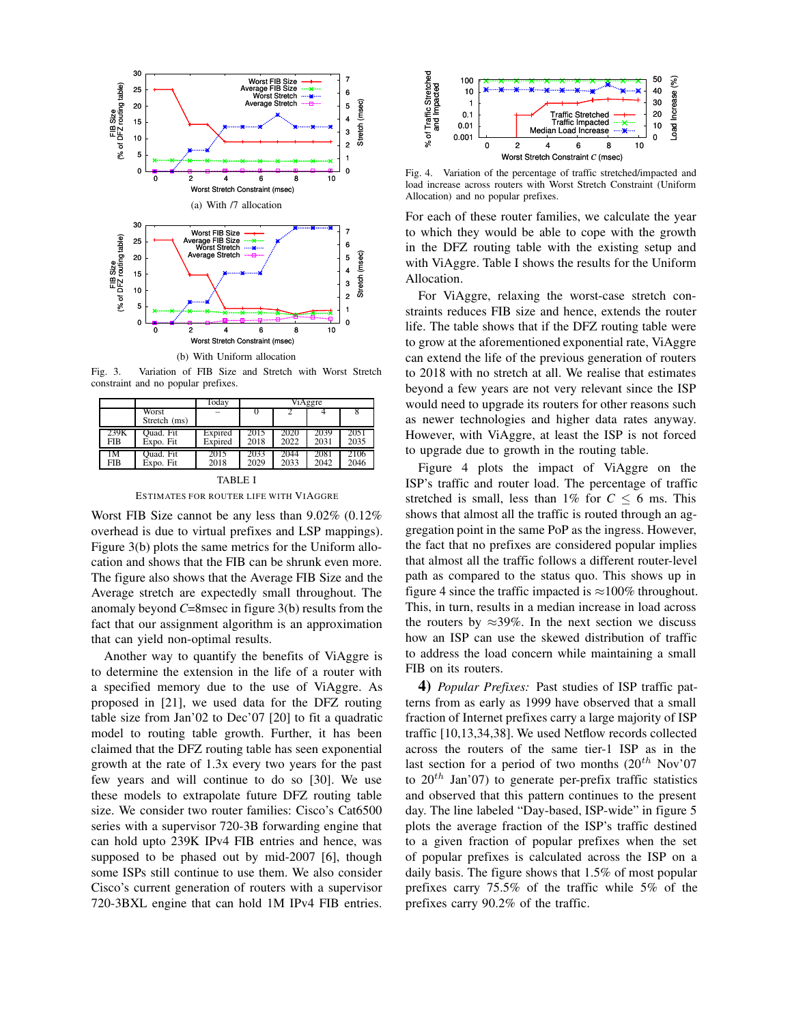

(b) With Uniform allocation

Fig. 3. Variation of FIB Size and Stretch with Worst Stretch constraint and no popular prefixes.

|            |                       | Today   | <i>ViAggre</i> |      |      |      |
|------------|-----------------------|---------|----------------|------|------|------|
|            | Worst<br>Stretch (ms) |         |                |      |      |      |
| 239K       | Ouad. Fit             | Expired | 2015           | 2020 | 2039 | 2051 |
| <b>FIB</b> | Expo. Fit             | Expired | 2018           | 2022 | 2031 | 2035 |
| IM         | Quad. Fit             | 2015    | 2033           | 2044 | 2081 | 2106 |
| <b>FIB</b> | Expo. Fit             | 2018    | 2029           | 2033 | 2042 | 2046 |

TABLE I ESTIMATES FOR ROUTER LIFE WITH VIAGGRE

Worst FIB Size cannot be any less than 9.02% (0.12% overhead is due to virtual prefixes and LSP mappings). Figure 3(b) plots the same metrics for the Uniform allocation and shows that the FIB can be shrunk even more. The figure also shows that the Average FIB Size and the Average stretch are expectedly small throughout. The anomaly beyond *C*=8msec in figure 3(b) results from the fact that our assignment algorithm is an approximation that can yield non-optimal results.

Another way to quantify the benefits of ViAggre is to determine the extension in the life of a router with a specified memory due to the use of ViAggre. As proposed in [21], we used data for the DFZ routing table size from Jan'02 to Dec'07 [20] to fit a quadratic model to routing table growth. Further, it has been claimed that the DFZ routing table has seen exponential growth at the rate of 1.3x every two years for the past few years and will continue to do so [30]. We use these models to extrapolate future DFZ routing table size. We consider two router families: Cisco's Cat6500 series with a supervisor 720-3B forwarding engine that can hold upto 239K IPv4 FIB entries and hence, was supposed to be phased out by mid-2007 [6], though some ISPs still continue to use them. We also consider Cisco's current generation of routers with a supervisor 720-3BXL engine that can hold 1M IPv4 FIB entries.



Fig. 4. Variation of the percentage of traffic stretched/impacted and load increase across routers with Worst Stretch Constraint (Uniform Allocation) and no popular prefixes.

For each of these router families, we calculate the year to which they would be able to cope with the growth in the DFZ routing table with the existing setup and with ViAggre. Table I shows the results for the Uniform Allocation.

For ViAggre, relaxing the worst-case stretch constraints reduces FIB size and hence, extends the router life. The table shows that if the DFZ routing table were to grow at the aforementioned exponential rate, ViAggre can extend the life of the previous generation of routers to 2018 with no stretch at all. We realise that estimates beyond a few years are not very relevant since the ISP would need to upgrade its routers for other reasons such as newer technologies and higher data rates anyway. However, with ViAggre, at least the ISP is not forced to upgrade due to growth in the routing table.

Figure 4 plots the impact of ViAggre on the ISP's traffic and router load. The percentage of traffic stretched is small, less than  $1\%$  for  $C \leq 6$  ms. This shows that almost all the traffic is routed through an aggregation point in the same PoP as the ingress. However, the fact that no prefixes are considered popular implies that almost all the traffic follows a different router-level path as compared to the status quo. This shows up in figure 4 since the traffic impacted is  $\approx$ 100% throughout. This, in turn, results in a median increase in load across the routers by  $\approx$ 39%. In the next section we discuss how an ISP can use the skewed distribution of traffic to address the load concern while maintaining a small FIB on its routers.

**4)** *Popular Prefixes:* Past studies of ISP traffic patterns from as early as 1999 have observed that a small fraction of Internet prefixes carry a large majority of ISP traffic [10,13,34,38]. We used Netflow records collected across the routers of the same tier-1 ISP as in the last section for a period of two months  $(20^{th}$  Nov'07 to  $20^{th}$  Jan'07) to generate per-prefix traffic statistics and observed that this pattern continues to the present day. The line labeled "Day-based, ISP-wide" in figure 5 plots the average fraction of the ISP's traffic destined to a given fraction of popular prefixes when the set of popular prefixes is calculated across the ISP on a daily basis. The figure shows that 1.5% of most popular prefixes carry 75.5% of the traffic while 5% of the prefixes carry 90.2% of the traffic.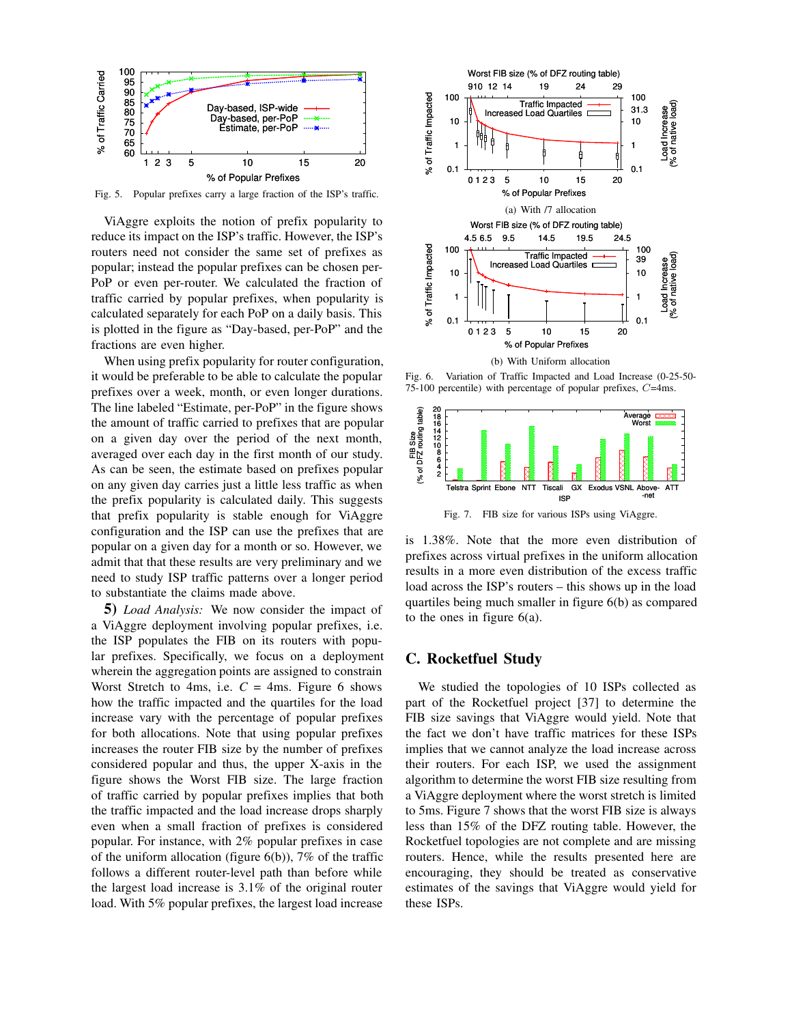

Fig. 5. Popular prefixes carry a large fraction of the ISP's traffic.

ViAggre exploits the notion of prefix popularity to reduce its impact on the ISP's traffic. However, the ISP's routers need not consider the same set of prefixes as popular; instead the popular prefixes can be chosen per-PoP or even per-router. We calculated the fraction of traffic carried by popular prefixes, when popularity is calculated separately for each PoP on a daily basis. This is plotted in the figure as "Day-based, per-PoP" and the fractions are even higher.

When using prefix popularity for router configuration, it would be preferable to be able to calculate the popular prefixes over a week, month, or even longer durations. The line labeled "Estimate, per-PoP" in the figure shows the amount of traffic carried to prefixes that are popular on a given day over the period of the next month, averaged over each day in the first month of our study. As can be seen, the estimate based on prefixes popular on any given day carries just a little less traffic as when the prefix popularity is calculated daily. This suggests that prefix popularity is stable enough for ViAggre configuration and the ISP can use the prefixes that are popular on a given day for a month or so. However, we admit that that these results are very preliminary and we need to study ISP traffic patterns over a longer period to substantiate the claims made above.

**5)** *Load Analysis:* We now consider the impact of a ViAggre deployment involving popular prefixes, i.e. the ISP populates the FIB on its routers with popular prefixes. Specifically, we focus on a deployment wherein the aggregation points are assigned to constrain Worst Stretch to 4ms, i.e.  $C = 4$ ms. Figure 6 shows how the traffic impacted and the quartiles for the load increase vary with the percentage of popular prefixes for both allocations. Note that using popular prefixes increases the router FIB size by the number of prefixes considered popular and thus, the upper X-axis in the figure shows the Worst FIB size. The large fraction of traffic carried by popular prefixes implies that both the traffic impacted and the load increase drops sharply even when a small fraction of prefixes is considered popular. For instance, with 2% popular prefixes in case of the uniform allocation (figure  $6(b)$ ), 7% of the traffic follows a different router-level path than before while the largest load increase is 3.1% of the original router load. With 5% popular prefixes, the largest load increase



Fig. 6. Variation of Traffic Impacted and Load Increase (0-25-50- 75-100 percentile) with percentage of popular prefixes, C=4ms.



Fig. 7. FIB size for various ISPs using ViAggre.

is 1.38%. Note that the more even distribution of prefixes across virtual prefixes in the uniform allocation results in a more even distribution of the excess traffic load across the ISP's routers – this shows up in the load quartiles being much smaller in figure 6(b) as compared to the ones in figure 6(a).

### **C. Rocketfuel Study**

We studied the topologies of 10 ISPs collected as part of the Rocketfuel project [37] to determine the FIB size savings that ViAggre would yield. Note that the fact we don't have traffic matrices for these ISPs implies that we cannot analyze the load increase across their routers. For each ISP, we used the assignment algorithm to determine the worst FIB size resulting from a ViAggre deployment where the worst stretch is limited to 5ms. Figure 7 shows that the worst FIB size is always less than 15% of the DFZ routing table. However, the Rocketfuel topologies are not complete and are missing routers. Hence, while the results presented here are encouraging, they should be treated as conservative estimates of the savings that ViAggre would yield for these ISPs.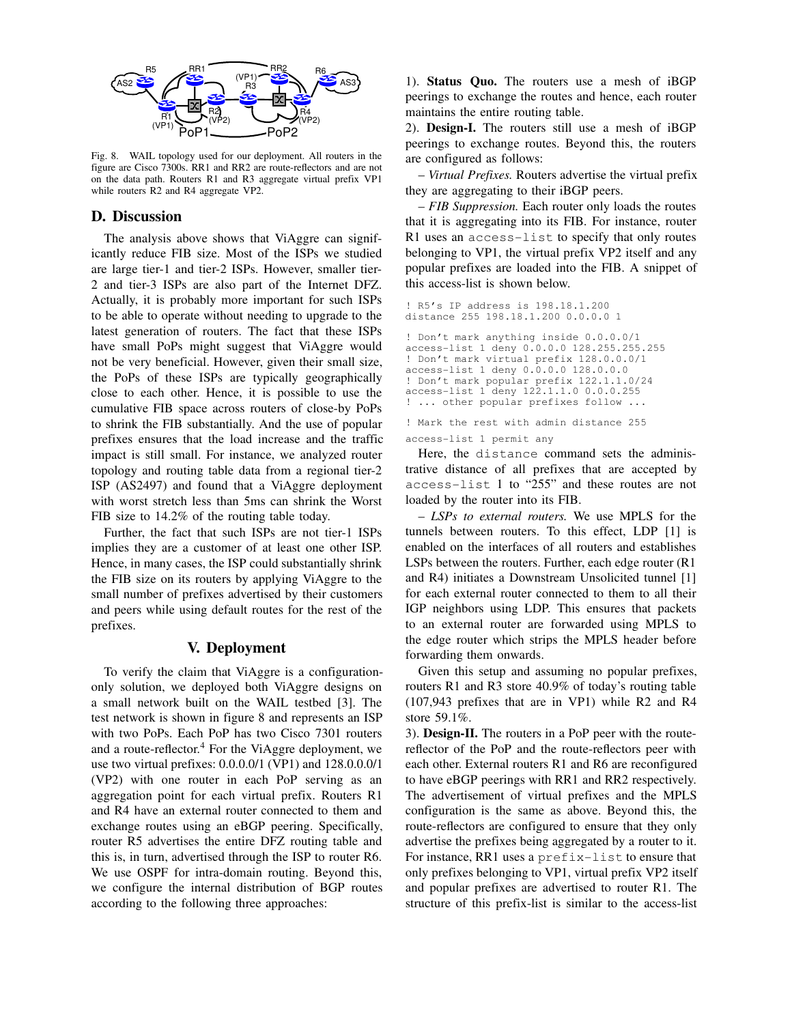

Fig. 8. WAIL topology used for our deployment. All routers in the figure are Cisco 7300s. RR1 and RR2 are route-reflectors and are not on the data path. Routers R1 and R3 aggregate virtual prefix VP1 while routers R2 and R4 aggregate VP2.

### **D. Discussion**

The analysis above shows that ViAggre can significantly reduce FIB size. Most of the ISPs we studied are large tier-1 and tier-2 ISPs. However, smaller tier-2 and tier-3 ISPs are also part of the Internet DFZ. Actually, it is probably more important for such ISPs to be able to operate without needing to upgrade to the latest generation of routers. The fact that these ISPs have small PoPs might suggest that ViAggre would not be very beneficial. However, given their small size, the PoPs of these ISPs are typically geographically close to each other. Hence, it is possible to use the cumulative FIB space across routers of close-by PoPs to shrink the FIB substantially. And the use of popular prefixes ensures that the load increase and the traffic impact is still small. For instance, we analyzed router topology and routing table data from a regional tier-2 ISP (AS2497) and found that a ViAggre deployment with worst stretch less than 5ms can shrink the Worst FIB size to 14.2% of the routing table today.

Further, the fact that such ISPs are not tier-1 ISPs implies they are a customer of at least one other ISP. Hence, in many cases, the ISP could substantially shrink the FIB size on its routers by applying ViAggre to the small number of prefixes advertised by their customers and peers while using default routes for the rest of the prefixes.

### **V. Deployment**

To verify the claim that ViAggre is a configurationonly solution, we deployed both ViAggre designs on a small network built on the WAIL testbed [3]. The test network is shown in figure 8 and represents an ISP with two PoPs. Each PoP has two Cisco 7301 routers and a route-reflector. <sup>4</sup> For the ViAggre deployment, we use two virtual prefixes: 0.0.0.0/1 (VP1) and 128.0.0.0/1 (VP2) with one router in each PoP serving as an aggregation point for each virtual prefix. Routers R1 and R4 have an external router connected to them and exchange routes using an eBGP peering. Specifically, router R5 advertises the entire DFZ routing table and this is, in turn, advertised through the ISP to router R6. We use OSPF for intra-domain routing. Beyond this, we configure the internal distribution of BGP routes according to the following three approaches:

1). **Status Quo.** The routers use a mesh of iBGP peerings to exchange the routes and hence, each router maintains the entire routing table.

2). **Design-I.** The routers still use a mesh of iBGP peerings to exchange routes. Beyond this, the routers are configured as follows:

– *Virtual Prefixes.* Routers advertise the virtual prefix they are aggregating to their iBGP peers.

– *FIB Suppression.* Each router only loads the routes that it is aggregating into its FIB. For instance, router R1 uses an access-list to specify that only routes belonging to VP1, the virtual prefix VP2 itself and any popular prefixes are loaded into the FIB. A snippet of this access-list is shown below.

```
! R5's IP address is 198.18.1.200
distance 255 198.18.1.200 0.0.0.0 1
! Don't mark anything inside 0.0.0.0/1
access-list 1 deny 0.0.0.0 128.255.255.255
! Don't mark virtual prefix 128.0.0.0/1
access-list 1 deny 0.\overline{0}.0.0 128.0.0.0! Don't mark popular prefix 122.1.1.0/24
access-list 1 deny 122.1.1.0 0.0.0.255
! ... other popular prefixes follow ...
```

```
! Mark the rest with admin distance 255
access-list 1 permit any
```
Here, the distance command sets the administrative distance of all prefixes that are accepted by access-list 1 to "255" and these routes are not loaded by the router into its FIB.

– *LSPs to external routers.* We use MPLS for the tunnels between routers. To this effect, LDP [1] is enabled on the interfaces of all routers and establishes LSPs between the routers. Further, each edge router (R1 and R4) initiates a Downstream Unsolicited tunnel [1] for each external router connected to them to all their IGP neighbors using LDP. This ensures that packets to an external router are forwarded using MPLS to the edge router which strips the MPLS header before forwarding them onwards.

Given this setup and assuming no popular prefixes, routers R1 and R3 store 40.9% of today's routing table (107,943 prefixes that are in VP1) while R2 and R4 store 59.1%.

3). **Design-II.** The routers in a PoP peer with the routereflector of the PoP and the route-reflectors peer with each other. External routers R1 and R6 are reconfigured to have eBGP peerings with RR1 and RR2 respectively. The advertisement of virtual prefixes and the MPLS configuration is the same as above. Beyond this, the route-reflectors are configured to ensure that they only advertise the prefixes being aggregated by a router to it. For instance, RR1 uses a prefix-list to ensure that only prefixes belonging to VP1, virtual prefix VP2 itself and popular prefixes are advertised to router R1. The structure of this prefix-list is similar to the access-list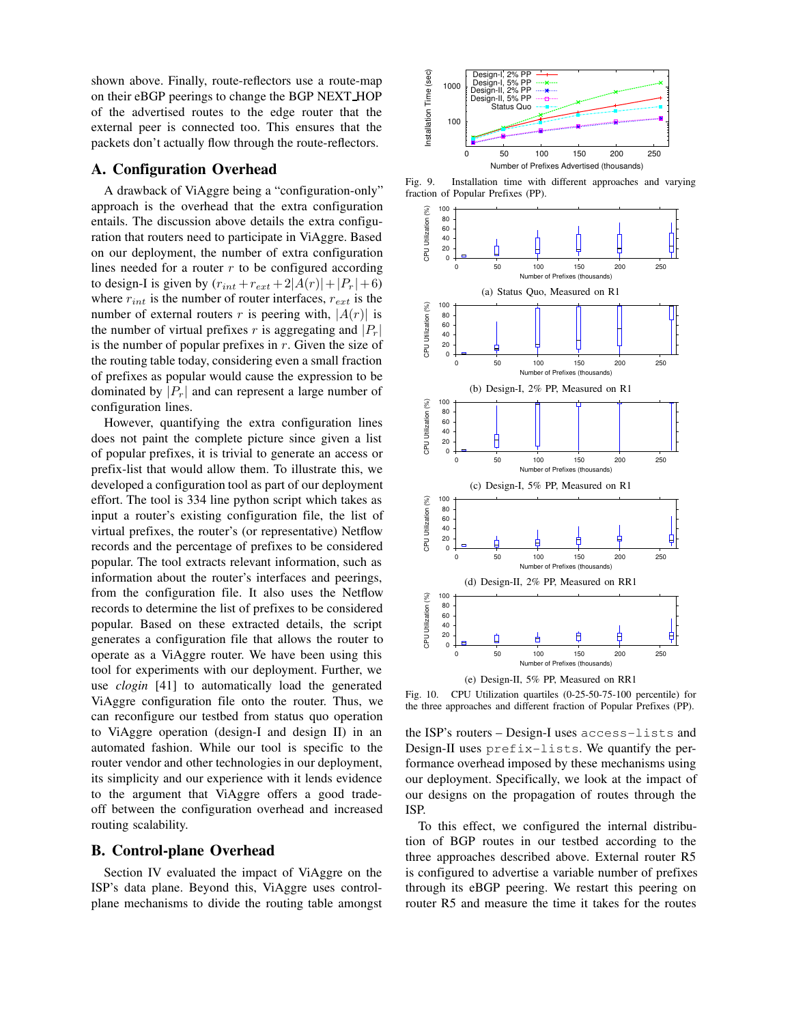shown above. Finally, route-reflectors use a route-map on their eBGP peerings to change the BGP NEXT HOP of the advertised routes to the edge router that the external peer is connected too. This ensures that the packets don't actually flow through the route-reflectors.

### **A. Configuration Overhead**

A drawback of ViAggre being a "configuration-only" approach is the overhead that the extra configuration entails. The discussion above details the extra configuration that routers need to participate in ViAggre. Based on our deployment, the number of extra configuration lines needed for a router  $r$  to be configured according to design-I is given by  $(r_{int} + r_{ext} + 2|A(r)| + |P_r| + 6)$ where  $r_{int}$  is the number of router interfaces,  $r_{ext}$  is the number of external routers r is peering with,  $|A(r)|$  is the number of virtual prefixes r is aggregating and  $|P_r|$ is the number of popular prefixes in  $r$ . Given the size of the routing table today, considering even a small fraction of prefixes as popular would cause the expression to be dominated by  $|P_r|$  and can represent a large number of configuration lines.

However, quantifying the extra configuration lines does not paint the complete picture since given a list of popular prefixes, it is trivial to generate an access or prefix-list that would allow them. To illustrate this, we developed a configuration tool as part of our deployment effort. The tool is 334 line python script which takes as input a router's existing configuration file, the list of virtual prefixes, the router's (or representative) Netflow records and the percentage of prefixes to be considered popular. The tool extracts relevant information, such as information about the router's interfaces and peerings, from the configuration file. It also uses the Netflow records to determine the list of prefixes to be considered popular. Based on these extracted details, the script generates a configuration file that allows the router to operate as a ViAggre router. We have been using this tool for experiments with our deployment. Further, we use *clogin* [41] to automatically load the generated ViAggre configuration file onto the router. Thus, we can reconfigure our testbed from status quo operation to ViAggre operation (design-I and design II) in an automated fashion. While our tool is specific to the router vendor and other technologies in our deployment, its simplicity and our experience with it lends evidence to the argument that ViAggre offers a good tradeoff between the configuration overhead and increased routing scalability.

#### **B. Control-plane Overhead**

Section IV evaluated the impact of ViAggre on the ISP's data plane. Beyond this, ViAggre uses controlplane mechanisms to divide the routing table amongst



Fig. 9. Installation time with different approaches and varying fraction of Popular Prefixes (PP).



Fig. 10. CPU Utilization quartiles (0-25-50-75-100 percentile) for the three approaches and different fraction of Popular Prefixes (PP).

the ISP's routers – Design-I uses access-lists and Design-II uses prefix-lists. We quantify the performance overhead imposed by these mechanisms using our deployment. Specifically, we look at the impact of our designs on the propagation of routes through the ISP.

To this effect, we configured the internal distribution of BGP routes in our testbed according to the three approaches described above. External router R5 is configured to advertise a variable number of prefixes through its eBGP peering. We restart this peering on router R5 and measure the time it takes for the routes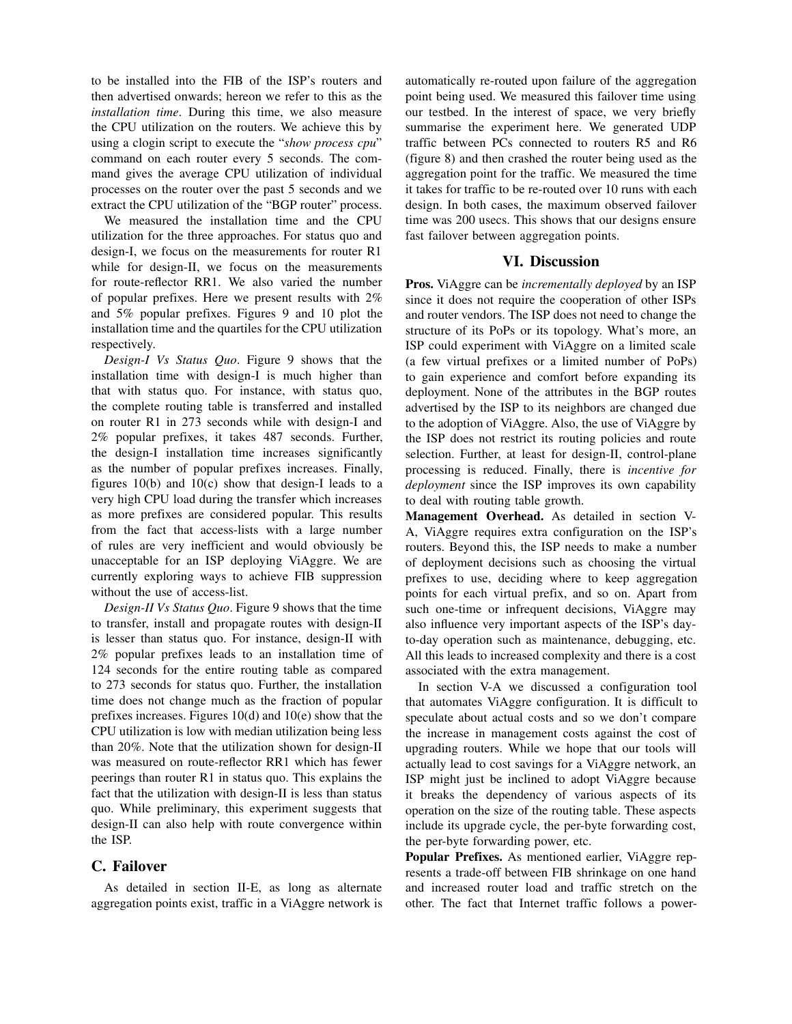to be installed into the FIB of the ISP's routers and then advertised onwards; hereon we refer to this as the *installation time*. During this time, we also measure the CPU utilization on the routers. We achieve this by using a clogin script to execute the "*show process cpu*" command on each router every 5 seconds. The command gives the average CPU utilization of individual processes on the router over the past 5 seconds and we extract the CPU utilization of the "BGP router" process.

We measured the installation time and the CPU utilization for the three approaches. For status quo and design-I, we focus on the measurements for router R1 while for design-II, we focus on the measurements for route-reflector RR1. We also varied the number of popular prefixes. Here we present results with 2% and 5% popular prefixes. Figures 9 and 10 plot the installation time and the quartiles for the CPU utilization respectively.

*Design-I Vs Status Quo*. Figure 9 shows that the installation time with design-I is much higher than that with status quo. For instance, with status quo, the complete routing table is transferred and installed on router R1 in 273 seconds while with design-I and 2% popular prefixes, it takes 487 seconds. Further, the design-I installation time increases significantly as the number of popular prefixes increases. Finally, figures 10(b) and 10(c) show that design-I leads to a very high CPU load during the transfer which increases as more prefixes are considered popular. This results from the fact that access-lists with a large number of rules are very inefficient and would obviously be unacceptable for an ISP deploying ViAggre. We are currently exploring ways to achieve FIB suppression without the use of access-list.

*Design-II Vs Status Quo*. Figure 9 shows that the time to transfer, install and propagate routes with design-II is lesser than status quo. For instance, design-II with 2% popular prefixes leads to an installation time of 124 seconds for the entire routing table as compared to 273 seconds for status quo. Further, the installation time does not change much as the fraction of popular prefixes increases. Figures 10(d) and 10(e) show that the CPU utilization is low with median utilization being less than 20%. Note that the utilization shown for design-II was measured on route-reflector RR1 which has fewer peerings than router R1 in status quo. This explains the fact that the utilization with design-II is less than status quo. While preliminary, this experiment suggests that design-II can also help with route convergence within the ISP.

### **C. Failover**

As detailed in section II-E, as long as alternate aggregation points exist, traffic in a ViAggre network is

automatically re-routed upon failure of the aggregation point being used. We measured this failover time using our testbed. In the interest of space, we very briefly summarise the experiment here. We generated UDP traffic between PCs connected to routers R5 and R6 (figure 8) and then crashed the router being used as the aggregation point for the traffic. We measured the time it takes for traffic to be re-routed over 10 runs with each design. In both cases, the maximum observed failover time was 200 usecs. This shows that our designs ensure fast failover between aggregation points.

### **VI. Discussion**

**Pros.** ViAggre can be *incrementally deployed* by an ISP since it does not require the cooperation of other ISPs and router vendors. The ISP does not need to change the structure of its PoPs or its topology. What's more, an ISP could experiment with ViAggre on a limited scale (a few virtual prefixes or a limited number of PoPs) to gain experience and comfort before expanding its deployment. None of the attributes in the BGP routes advertised by the ISP to its neighbors are changed due to the adoption of ViAggre. Also, the use of ViAggre by the ISP does not restrict its routing policies and route selection. Further, at least for design-II, control-plane processing is reduced. Finally, there is *incentive for deployment* since the ISP improves its own capability to deal with routing table growth.

**Management Overhead.** As detailed in section V-A, ViAggre requires extra configuration on the ISP's routers. Beyond this, the ISP needs to make a number of deployment decisions such as choosing the virtual prefixes to use, deciding where to keep aggregation points for each virtual prefix, and so on. Apart from such one-time or infrequent decisions, ViAggre may also influence very important aspects of the ISP's dayto-day operation such as maintenance, debugging, etc. All this leads to increased complexity and there is a cost associated with the extra management.

In section V-A we discussed a configuration tool that automates ViAggre configuration. It is difficult to speculate about actual costs and so we don't compare the increase in management costs against the cost of upgrading routers. While we hope that our tools will actually lead to cost savings for a ViAggre network, an ISP might just be inclined to adopt ViAggre because it breaks the dependency of various aspects of its operation on the size of the routing table. These aspects include its upgrade cycle, the per-byte forwarding cost, the per-byte forwarding power, etc.

**Popular Prefixes.** As mentioned earlier, ViAggre represents a trade-off between FIB shrinkage on one hand and increased router load and traffic stretch on the other. The fact that Internet traffic follows a power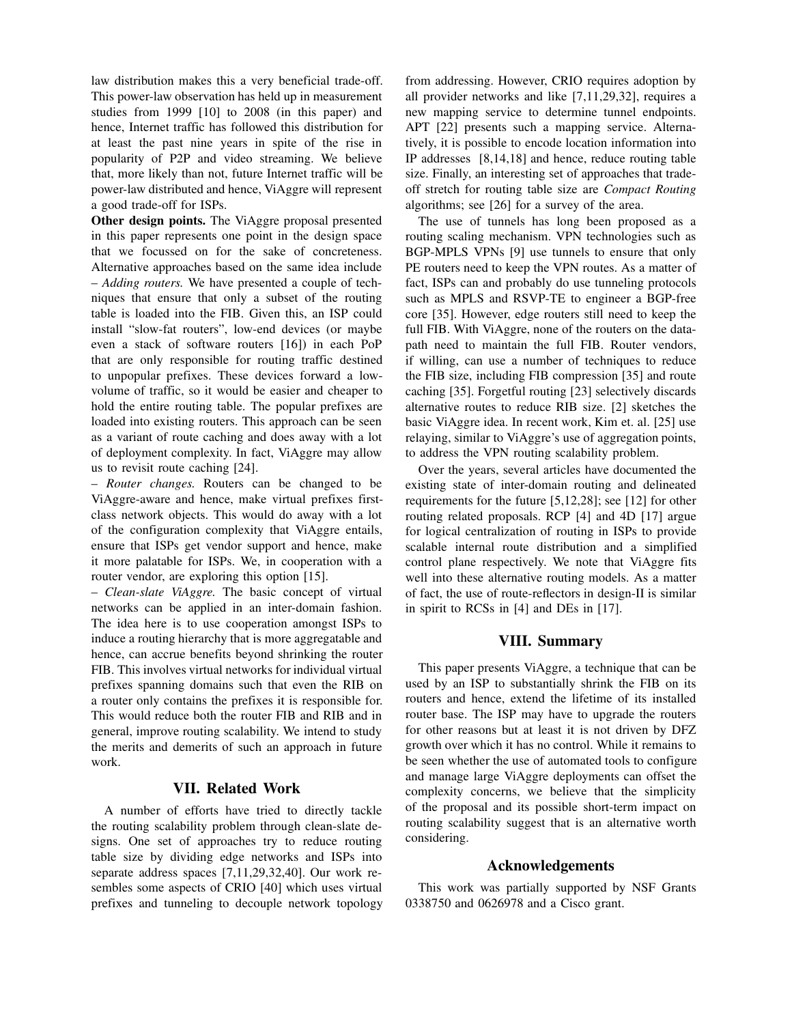law distribution makes this a very beneficial trade-off. This power-law observation has held up in measurement studies from 1999 [10] to 2008 (in this paper) and hence, Internet traffic has followed this distribution for at least the past nine years in spite of the rise in popularity of P2P and video streaming. We believe that, more likely than not, future Internet traffic will be power-law distributed and hence, ViAggre will represent a good trade-off for ISPs.

**Other design points.** The ViAggre proposal presented in this paper represents one point in the design space that we focussed on for the sake of concreteness. Alternative approaches based on the same idea include – *Adding routers.* We have presented a couple of techniques that ensure that only a subset of the routing table is loaded into the FIB. Given this, an ISP could install "slow-fat routers", low-end devices (or maybe even a stack of software routers [16]) in each PoP that are only responsible for routing traffic destined to unpopular prefixes. These devices forward a lowvolume of traffic, so it would be easier and cheaper to hold the entire routing table. The popular prefixes are loaded into existing routers. This approach can be seen as a variant of route caching and does away with a lot of deployment complexity. In fact, ViAggre may allow us to revisit route caching [24].

– *Router changes.* Routers can be changed to be ViAggre-aware and hence, make virtual prefixes firstclass network objects. This would do away with a lot of the configuration complexity that ViAggre entails, ensure that ISPs get vendor support and hence, make it more palatable for ISPs. We, in cooperation with a router vendor, are exploring this option [15].

– *Clean-slate ViAggre.* The basic concept of virtual networks can be applied in an inter-domain fashion. The idea here is to use cooperation amongst ISPs to induce a routing hierarchy that is more aggregatable and hence, can accrue benefits beyond shrinking the router FIB. This involves virtual networks for individual virtual prefixes spanning domains such that even the RIB on a router only contains the prefixes it is responsible for. This would reduce both the router FIB and RIB and in general, improve routing scalability. We intend to study the merits and demerits of such an approach in future work.

### **VII. Related Work**

A number of efforts have tried to directly tackle the routing scalability problem through clean-slate designs. One set of approaches try to reduce routing table size by dividing edge networks and ISPs into separate address spaces [7,11,29,32,40]. Our work resembles some aspects of CRIO [40] which uses virtual prefixes and tunneling to decouple network topology

from addressing. However, CRIO requires adoption by all provider networks and like [7,11,29,32], requires a new mapping service to determine tunnel endpoints. APT [22] presents such a mapping service. Alternatively, it is possible to encode location information into IP addresses [8,14,18] and hence, reduce routing table size. Finally, an interesting set of approaches that tradeoff stretch for routing table size are *Compact Routing* algorithms; see [26] for a survey of the area.

The use of tunnels has long been proposed as a routing scaling mechanism. VPN technologies such as BGP-MPLS VPNs [9] use tunnels to ensure that only PE routers need to keep the VPN routes. As a matter of fact, ISPs can and probably do use tunneling protocols such as MPLS and RSVP-TE to engineer a BGP-free core [35]. However, edge routers still need to keep the full FIB. With ViAggre, none of the routers on the datapath need to maintain the full FIB. Router vendors, if willing, can use a number of techniques to reduce the FIB size, including FIB compression [35] and route caching [35]. Forgetful routing [23] selectively discards alternative routes to reduce RIB size. [2] sketches the basic ViAggre idea. In recent work, Kim et. al. [25] use relaying, similar to ViAggre's use of aggregation points, to address the VPN routing scalability problem.

Over the years, several articles have documented the existing state of inter-domain routing and delineated requirements for the future [5,12,28]; see [12] for other routing related proposals. RCP [4] and 4D [17] argue for logical centralization of routing in ISPs to provide scalable internal route distribution and a simplified control plane respectively. We note that ViAggre fits well into these alternative routing models. As a matter of fact, the use of route-reflectors in design-II is similar in spirit to RCSs in [4] and DEs in [17].

#### **VIII. Summary**

This paper presents ViAggre, a technique that can be used by an ISP to substantially shrink the FIB on its routers and hence, extend the lifetime of its installed router base. The ISP may have to upgrade the routers for other reasons but at least it is not driven by DFZ growth over which it has no control. While it remains to be seen whether the use of automated tools to configure and manage large ViAggre deployments can offset the complexity concerns, we believe that the simplicity of the proposal and its possible short-term impact on routing scalability suggest that is an alternative worth considering.

#### **Acknowledgements**

This work was partially supported by NSF Grants 0338750 and 0626978 and a Cisco grant.